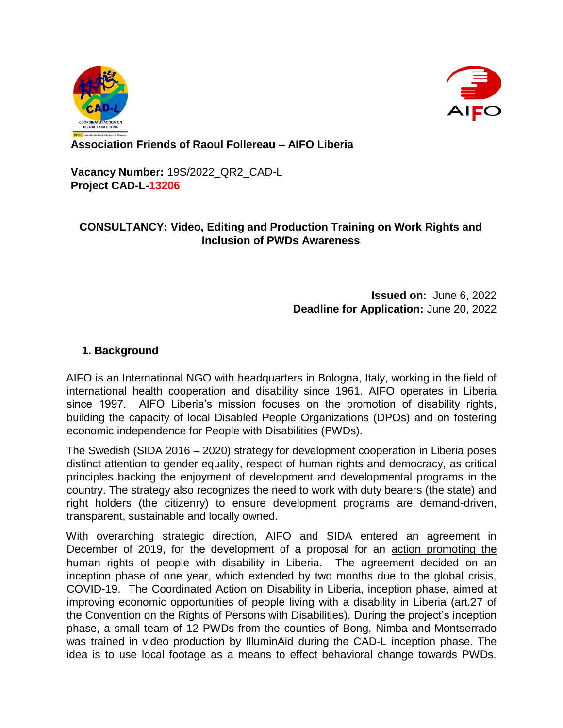



### **Association Friends of Raoul Follereau – AIFO Liberia**

**Vacancy Number:** 19S/2022\_QR2\_CAD-L **Project CAD-L-13206**

## **CONSULTANCY: Video, Editing and Production Training on Work Rights and Inclusion of PWDs Awareness**

#### **Issued on:** June 6, 2022 **Deadline for Application:** June 20, 2022

## **1. Background**

AIFO is an International NGO with headquarters in Bologna, Italy, working in the field of international health cooperation and disability since 1961. AIFO operates in Liberia since 1997. AIFO Liberia's mission focuses on the promotion of disability rights, building the capacity of local Disabled People Organizations (DPOs) and on fostering economic independence for People with Disabilities (PWDs).

The Swedish (SIDA 2016 – 2020) strategy for development cooperation in Liberia poses distinct attention to gender equality, respect of human rights and democracy, as critical principles backing the enjoyment of development and developmental programs in the country. The strategy also recognizes the need to work with duty bearers (the state) and right holders (the citizenry) to ensure development programs are demand-driven, transparent, sustainable and locally owned.

With overarching strategic direction, AIFO and SIDA entered an agreement in December of 2019, for the development of a proposal for an action promoting the human rights of people with disability in Liberia. The agreement decided on an inception phase of one year, which extended by two months due to the global crisis, COVID-19. The Coordinated Action on Disability in Liberia, inception phase, aimed at improving economic opportunities of people living with a disability in Liberia (art.27 of the Convention on the Rights of Persons with Disabilities). During the project's inception phase, a small team of 12 PWDs from the counties of Bong, Nimba and Montserrado was trained in video production by IlluminAid during the CAD-L inception phase. The idea is to use local footage as a means to effect behavioral change towards PWDs.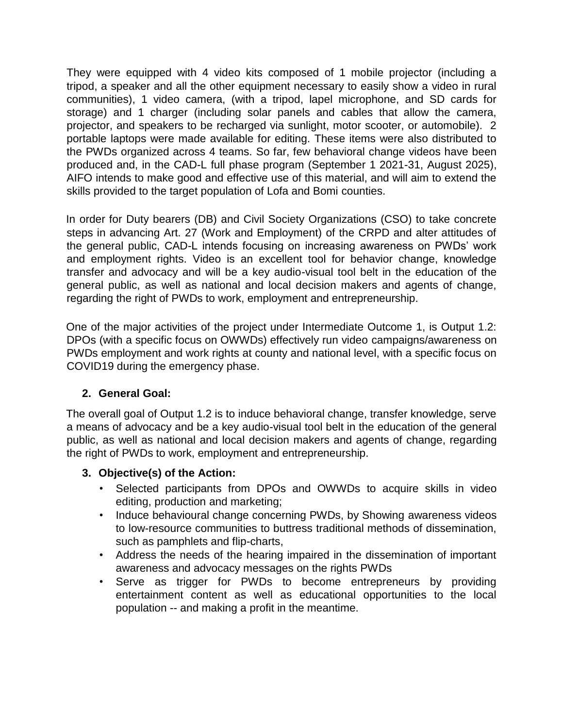They were equipped with 4 video kits composed of 1 mobile projector (including a tripod, a speaker and all the other equipment necessary to easily show a video in rural communities), 1 video camera, (with a tripod, lapel microphone, and SD cards for storage) and 1 charger (including solar panels and cables that allow the camera, projector, and speakers to be recharged via sunlight, motor scooter, or automobile). 2 portable laptops were made available for editing. These items were also distributed to the PWDs organized across 4 teams. So far, few behavioral change videos have been produced and, in the CAD-L full phase program (September 1 2021-31, August 2025), AIFO intends to make good and effective use of this material, and will aim to extend the skills provided to the target population of Lofa and Bomi counties.

In order for Duty bearers (DB) and Civil Society Organizations (CSO) to take concrete steps in advancing Art. 27 (Work and Employment) of the CRPD and alter attitudes of the general public, CAD-L intends focusing on increasing awareness on PWDs' work and employment rights. Video is an excellent tool for behavior change, knowledge transfer and advocacy and will be a key audio-visual tool belt in the education of the general public, as well as national and local decision makers and agents of change, regarding the right of PWDs to work, employment and entrepreneurship.

One of the major activities of the project under Intermediate Outcome 1, is Output 1.2: DPOs (with a specific focus on OWWDs) effectively run video campaigns/awareness on PWDs employment and work rights at county and national level, with a specific focus on COVID19 during the emergency phase.

## **2. General Goal:**

The overall goal of Output 1.2 is to induce behavioral change, transfer knowledge, serve a means of advocacy and be a key audio-visual tool belt in the education of the general public, as well as national and local decision makers and agents of change, regarding the right of PWDs to work, employment and entrepreneurship.

## **3. Objective(s) of the Action:**

- Selected participants from DPOs and OWWDs to acquire skills in video editing, production and marketing;
- Induce behavioural change concerning PWDs, by Showing awareness videos to low-resource communities to buttress traditional methods of dissemination, such as pamphlets and flip-charts,
- Address the needs of the hearing impaired in the dissemination of important awareness and advocacy messages on the rights PWDs
- Serve as trigger for PWDs to become entrepreneurs by providing entertainment content as well as educational opportunities to the local population -- and making a profit in the meantime.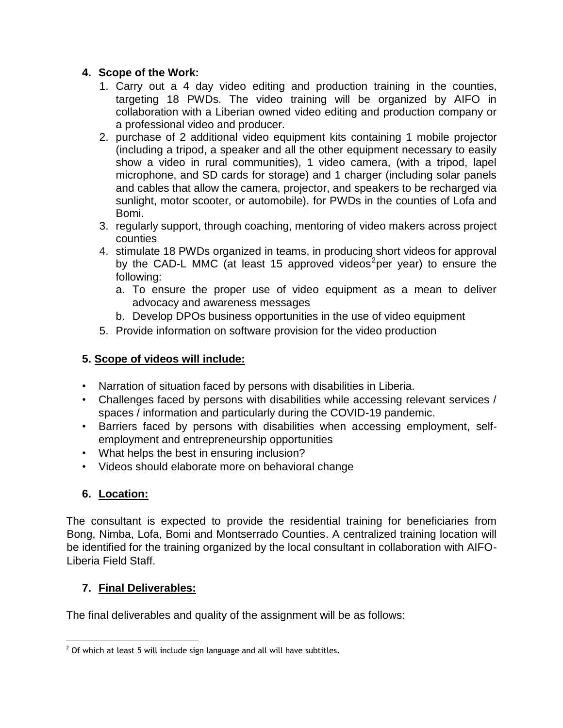### **4. Scope of the Work:**

- 1. Carry out a 4 day video editing and production training in the counties, targeting 18 PWDs. The video training will be organized by AIFO in collaboration with a Liberian owned video editing and production company or a professional video and producer.
- 2. purchase of 2 additional video equipment kits containing 1 mobile projector (including a tripod, a speaker and all the other equipment necessary to easily show a video in rural communities), 1 video camera, (with a tripod, lapel microphone, and SD cards for storage) and 1 charger (including solar panels and cables that allow the camera, projector, and speakers to be recharged via sunlight, motor scooter, or automobile). for PWDs in the counties of Lofa and Bomi.
- 3. regularly support, through coaching, mentoring of video makers across project counties
- 4. stimulate 18 PWDs organized in teams, in producing short videos for approval by the CAD-L MMC (at least 15 approved videos<sup>2</sup>per year) to ensure the following:
	- a. To ensure the proper use of video equipment as a mean to deliver advocacy and awareness messages
	- b. Develop DPOs business opportunities in the use of video equipment
- 5. Provide information on software provision for the video production

## **5. Scope of videos will include:**

- Narration of situation faced by persons with disabilities in Liberia.
- Challenges faced by persons with disabilities while accessing relevant services / spaces / information and particularly during the COVID-19 pandemic.
- Barriers faced by persons with disabilities when accessing employment, selfemployment and entrepreneurship opportunities
- What helps the best in ensuring inclusion?
- Videos should elaborate more on behavioral change

# **6. Location:**

The consultant is expected to provide the residential training for beneficiaries from Bong, Nimba, Lofa, Bomi and Montserrado Counties. A centralized training location will be identified for the training organized by the local consultant in collaboration with AIFO-Liberia Field Staff.

# **7. Final Deliverables:**

The final deliverables and quality of the assignment will be as follows:

 $\overline{a}$  $2$  Of which at least 5 will include sign language and all will have subtitles.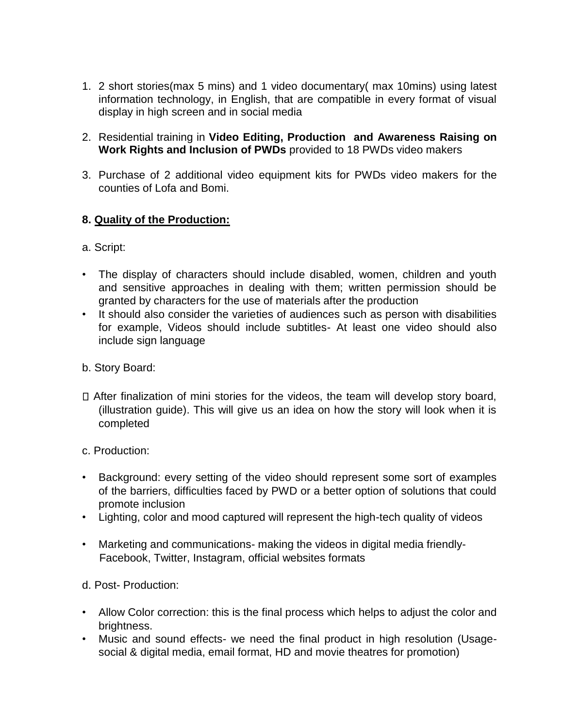- 1. 2 short stories(max 5 mins) and 1 video documentary( max 10mins) using latest information technology, in English, that are compatible in every format of visual display in high screen and in social media
- 2. Residential training in **Video Editing, Production and Awareness Raising on Work Rights and Inclusion of PWDs** provided to 18 PWDs video makers
- 3. Purchase of 2 additional video equipment kits for PWDs video makers for the counties of Lofa and Bomi.

## **8. Quality of the Production:**

- a. Script:
- The display of characters should include disabled, women, children and youth and sensitive approaches in dealing with them; written permission should be granted by characters for the use of materials after the production
- It should also consider the varieties of audiences such as person with disabilities for example, Videos should include subtitles- At least one video should also include sign language
- b. Story Board:
- $\Box$  After finalization of mini stories for the videos, the team will develop story board, (illustration guide). This will give us an idea on how the story will look when it is completed
- c. Production:
- Background: every setting of the video should represent some sort of examples of the barriers, difficulties faced by PWD or a better option of solutions that could promote inclusion
- Lighting, color and mood captured will represent the high-tech quality of videos
- Marketing and communications- making the videos in digital media friendly-Facebook, Twitter, Instagram, official websites formats
- d. Post- Production:
- Allow Color correction: this is the final process which helps to adjust the color and brightness.
- Music and sound effects- we need the final product in high resolution (Usagesocial & digital media, email format, HD and movie theatres for promotion)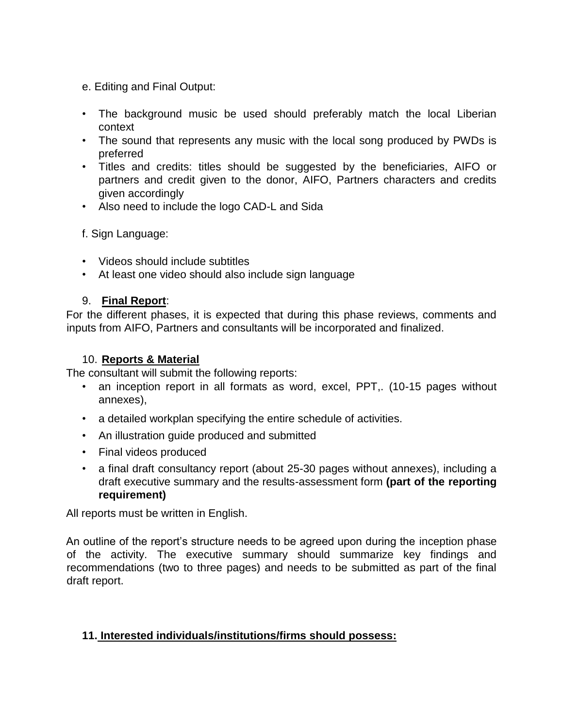e. Editing and Final Output:

- The background music be used should preferably match the local Liberian context
- The sound that represents any music with the local song produced by PWDs is preferred
- Titles and credits: titles should be suggested by the beneficiaries, AIFO or partners and credit given to the donor, AIFO, Partners characters and credits given accordingly
- Also need to include the logo CAD-L and Sida

f. Sign Language:

- Videos should include subtitles
- At least one video should also include sign language

## 9. **Final Report**:

For the different phases, it is expected that during this phase reviews, comments and inputs from AIFO, Partners and consultants will be incorporated and finalized.

## 10. **Reports & Material**

The consultant will submit the following reports:

- an inception report in all formats as word, excel, PPT,. (10-15 pages without annexes),
- a detailed workplan specifying the entire schedule of activities.
- An illustration guide produced and submitted
- Final videos produced
- a final draft consultancy report (about 25-30 pages without annexes), including a draft executive summary and the results-assessment form **(part of the reporting requirement)**

All reports must be written in English.

An outline of the report's structure needs to be agreed upon during the inception phase of the activity. The executive summary should summarize key findings and recommendations (two to three pages) and needs to be submitted as part of the final draft report.

# **11. Interested individuals/institutions/firms should possess:**